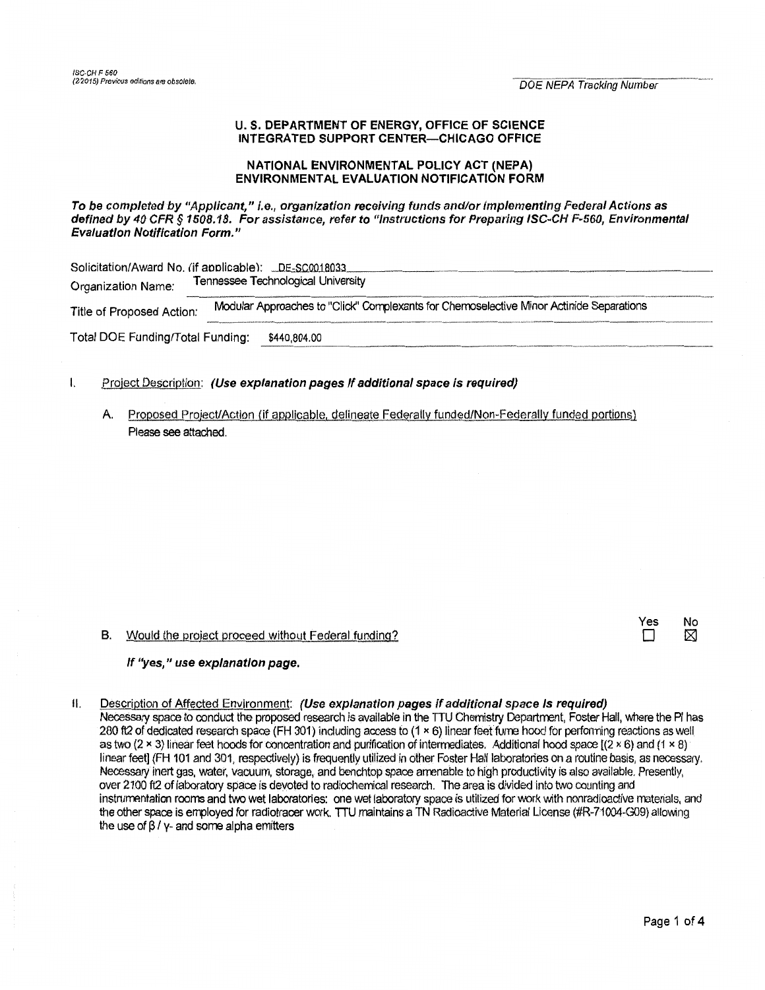#### U. S. DEPARTMENT OF ENERGY, OFFICE OF SCIENCE INTEGRATED SUPPORT CENTER-CHICAGO OFFICE

#### NATIONAL ENVIRONMENTAL POLICY ACT (NEPA) **ENVIRONMENTAL EVALUATION NOTIFICATION FORM**

To be completed by "Applicant," i.e., organization receiving funds and/or implementing Federal Actions as defined by 40 CFR § 1508.18. For assistance, refer to "Instructions for Preparing ISC-CH F-560, Environmental **Evaluation Notification Form."** 

| Solicitation/Award No. (if applicable): _DE-SC0018033<br>Tennessee Technological University |                                                                                         |  |  |  |  |
|---------------------------------------------------------------------------------------------|-----------------------------------------------------------------------------------------|--|--|--|--|
| Organization Name:                                                                          |                                                                                         |  |  |  |  |
| Title of Proposed Action:                                                                   | Modular Approaches to "Click" Complexants for Chemoselective Minor Actinide Separations |  |  |  |  |
| Total DOE Funding/Total Funding:                                                            | \$440,804.00                                                                            |  |  |  |  |

- $\mathbf{I}$ Project Description: (Use explanation pages If additional space is required)
	- A. Proposed Project/Action (if applicable, delineate Federally funded/Non-Federally funded portions) Please see attached.

B. Would the project proceed without Federal funding?

### If "yes," use explanation page.

Description of Affected Environment: (Use explanation pages if additional space Is required)  $II.$ Necessary space to conduct the proposed research is available in the TTU Chemistry Department. Foster Hall, where the PI has 280 ft2 of dedicated research space (FH 301) including access to (1 × 6) linear feet fume hood for performing reactions as well as two (2 x 3) linear feet hoods for concentration and purification of intermediates. Additional hood space  $[(2 \times 6)$  and (1 x 8) linear feet] (FH 101 and 301, respectively) is frequently utilized in other Foster Hall laboratories on a routine basis, as necessary. Necessary inert gas, water, vacuum, storage, and benchtop space amenable to high productivity is also available. Presently, over 2100 ft2 of laboratory space is devoted to radiochemical research. The area is divided into two counting and instrumentation rooms and two wet laboratories: one wet laboratory space is utilized for work with nonradioactive materials, and the other space is employed for radiotracer work. TTU maintains a TN Radioactive Material License (#R-71004-G09) allowing the use of  $\beta$  / y- and some alpha emitters

Yes

П

No

⊠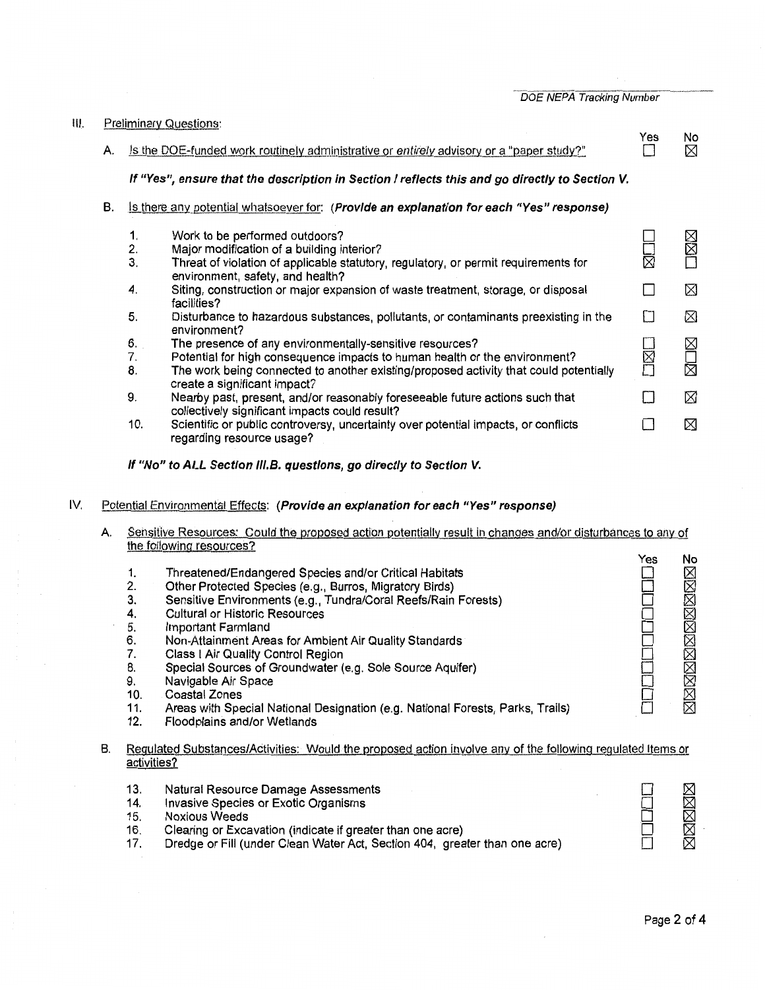DOE NEPA Tracking Number

| Ш. |    | <b>Preliminary Questions:</b>                                                                  |                                                                                                                                                                       |     |         |  |
|----|----|------------------------------------------------------------------------------------------------|-----------------------------------------------------------------------------------------------------------------------------------------------------------------------|-----|---------|--|
|    | А. |                                                                                                | Is the DOE-funded work routinely administrative or entirely advisory or a "paper study?"                                                                              | Yes | No<br>X |  |
|    |    | If "Yes", ensure that the description in Section I reflects this and go directly to Section V. |                                                                                                                                                                       |     |         |  |
|    | В. | Is there any potential whatsoever for: (Provide an explanation for each "Yes" response)        |                                                                                                                                                                       |     |         |  |
|    |    | 1.                                                                                             | Work to be performed outdoors?                                                                                                                                        |     | ⊠⊠      |  |
|    |    | 2.<br>3.                                                                                       | Major modification of a building interior?<br>Threat of violation of applicable statutory, regulatory, or permit requirements for<br>environment, safety, and health? | 岗   |         |  |
|    |    | 4.                                                                                             | Siting, construction or major expansion of waste treatment, storage, or disposal<br>facilities?                                                                       |     | ⊠       |  |
|    |    | 5.                                                                                             | Disturbance to hazardous substances, pollutants, or contaminants preexisting in the<br>environment?                                                                   |     | ⊠       |  |
|    |    | 6.                                                                                             | The presence of any environmentally-sensitive resources?                                                                                                              |     |         |  |
|    |    | 7.                                                                                             | Potential for high consequence impacts to human health or the environment?                                                                                            | ķ   | MUM     |  |
|    |    | 8.                                                                                             | The work being connected to another existing/proposed activity that could potentially<br>create a significant impact?                                                 |     |         |  |
|    |    | 9.                                                                                             | Nearby past, present, and/or reasonably foreseeable future actions such that<br>collectively significant impacts could result?                                        |     | ⊠       |  |
|    |    | 10.                                                                                            | Scientific or public controversy, uncertainty over potential impacts, or conflicts<br>regarding resource usage?                                                       |     | ⊠       |  |

**If "No" to ALL Section 111.B. questions, go directly to Section V.** 

IV. Potential Enyironmental Effects: **(Provide an explanation for each "Yes" response)** 

| Sensitive Resources: Could the proposed action potentially result in changes and/or disturbances to any of |  |
|------------------------------------------------------------------------------------------------------------|--|
| the following resources?                                                                                   |  |

| В. | 1.<br>2.<br>3.<br>4.<br>5.<br>6.<br>7.<br>8.<br>9.<br>10.<br>11.<br>12.<br>activities? | Threatened/Endangered Species and/or Critical Habitats<br>Other Protected Species (e.g., Burros, Migratory Birds)<br>Sensitive Environments (e.g., Tundra/Coral Reefs/Rain Forests)<br><b>Cultural or Historic Resources</b><br>Important Farmland<br>Non-Attainment Areas for Ambient Air Quality Standards<br>Class I Air Quality Control Region<br>Special Sources of Groundwater (e.g. Sole Source Aquifer)<br>Navigable Air Space<br>Coastal Zones<br>Areas with Special National Designation (e.g. National Forests, Parks, Trails)<br>Floodplains and/or Wetlands<br>Regulated Substances/Activities: Would the proposed action involve any of the following regulated Items or | Yes | No<br>XXXXXXXXXXXXX |
|----|----------------------------------------------------------------------------------------|----------------------------------------------------------------------------------------------------------------------------------------------------------------------------------------------------------------------------------------------------------------------------------------------------------------------------------------------------------------------------------------------------------------------------------------------------------------------------------------------------------------------------------------------------------------------------------------------------------------------------------------------------------------------------------------|-----|---------------------|
|    | 13.<br>14.<br>15.<br>16.<br>17.                                                        | Natural Resource Damage Assessments<br>Invasive Species or Exotic Organisms<br><b>Noxious Weeds</b><br>Clearing or Excavation (indicate if greater than one acre)<br>Dredge or Fill (under Clean Water Act, Section 404, greater than one acre)                                                                                                                                                                                                                                                                                                                                                                                                                                        |     | xxxxxx              |

- 16. Clearing or Excavation (indicate if greater than one acre)
- 17. Dredge or Fill (under Clean Water Act, Section 404, greater than one acre)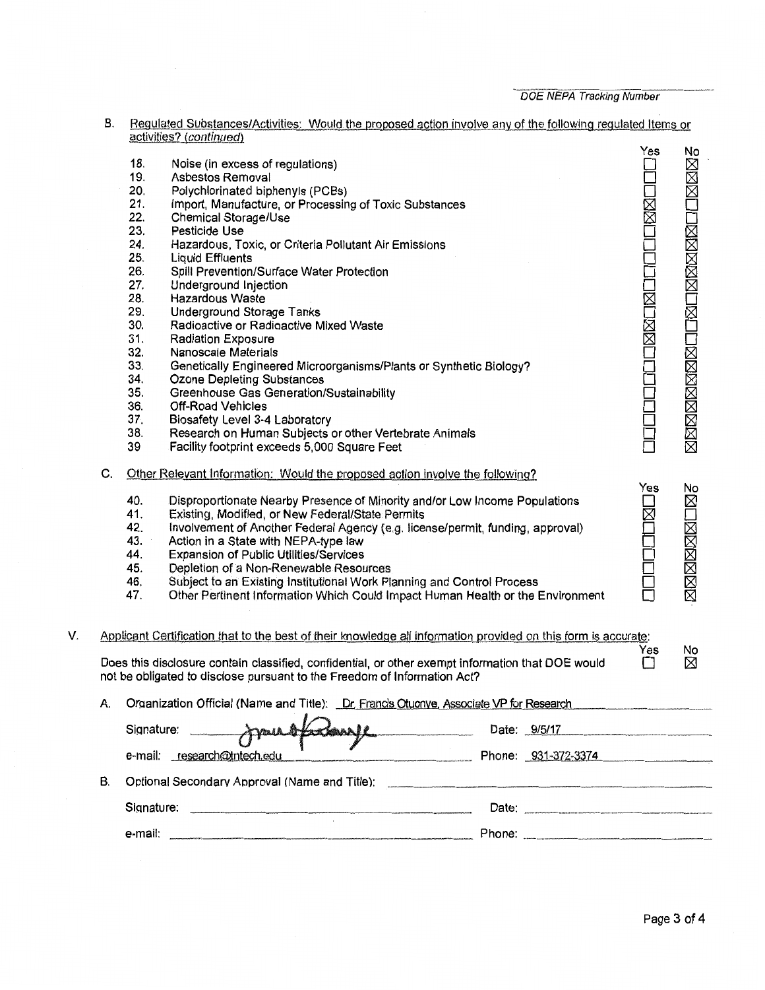DOE NEPA Tracking Number

B. Regulated Substances/Activities: Would the proposed action involve any of the following regulated Items or activities? (*continued*)

|    |    |            |                                                                                                                                                                                                                                      |                     | Yes         | No           |
|----|----|------------|--------------------------------------------------------------------------------------------------------------------------------------------------------------------------------------------------------------------------------------|---------------------|-------------|--------------|
|    |    | 18.        | Noise (in excess of regulations)                                                                                                                                                                                                     |                     |             | <b>NNXIX</b> |
|    |    | 19.        | Asbestos Removal                                                                                                                                                                                                                     |                     |             |              |
|    |    | 20.        | Polychlorinated biphenyls (PCBs)                                                                                                                                                                                                     |                     |             |              |
|    |    | 21.        | Import, Manufacture, or Processing of Toxic Substances                                                                                                                                                                               |                     | <b>IXXI</b> |              |
|    |    | 22.        | Chemical Storage/Use                                                                                                                                                                                                                 |                     |             |              |
|    |    | 23.        | Pesticide Use                                                                                                                                                                                                                        |                     |             |              |
|    |    | 24.        | Hazardous, Toxic, or Criteria Pollutant Air Emissions                                                                                                                                                                                |                     |             |              |
|    |    | 25.        | <b>Liquid Effluents</b>                                                                                                                                                                                                              |                     |             |              |
|    |    | 26.        | Spill Prevention/Surface Water Protection                                                                                                                                                                                            |                     |             |              |
|    |    | 27.        | Underground Injection                                                                                                                                                                                                                |                     |             |              |
|    |    | 28.<br>29. | Hazardous Waste                                                                                                                                                                                                                      |                     | MMOM        |              |
|    |    | 30.        | <b>Underground Storage Tanks</b>                                                                                                                                                                                                     |                     |             |              |
|    |    |            | Radioactive or Radioactive Mixed Waste                                                                                                                                                                                               |                     |             |              |
|    |    | 31.        | <b>Radiation Exposure</b>                                                                                                                                                                                                            |                     |             |              |
|    |    | 32.<br>33. | <b>Nanoscale Materials</b>                                                                                                                                                                                                           |                     |             |              |
|    |    | 34.        | Genetically Engineered Microorganisms/Plants or Synthetic Biology?                                                                                                                                                                   |                     |             |              |
|    |    | 35.        | Ozone Depleting Substances                                                                                                                                                                                                           |                     |             |              |
|    |    | 36.        | <b>Greenhouse Gas Generation/Sustainability</b><br>Off-Road Vehicles                                                                                                                                                                 |                     |             |              |
|    |    | 37.        |                                                                                                                                                                                                                                      |                     |             |              |
|    |    | 38.        | Biosafety Level 3-4 Laboratory<br>Research on Human Subjects or other Vertebrate Animals                                                                                                                                             |                     |             |              |
|    |    | 39         | Facility footprint exceeds 5,000 Square Feet                                                                                                                                                                                         |                     |             |              |
|    |    |            |                                                                                                                                                                                                                                      |                     |             |              |
|    | C. |            | Other Relevant Information: Would the proposed action involve the following?                                                                                                                                                         |                     |             |              |
|    |    |            |                                                                                                                                                                                                                                      |                     | Yes         | No           |
|    |    | 40.        | Disproportionate Nearby Presence of Minority and/or Low Income Populations                                                                                                                                                           |                     |             | $\boxtimes$  |
|    |    | 41.        | Existing, Modified, or New Federal/State Permits                                                                                                                                                                                     |                     | ⊠           |              |
|    |    | 42.<br>43. | Involvement of Another Federal Agency (e.g. license/permit, funding, approval)                                                                                                                                                       |                     |             |              |
|    |    | 44.        | Action in a State with NEPA-type law                                                                                                                                                                                                 |                     |             |              |
|    |    | 45.        | <b>Expansion of Public Utilities/Services</b><br>Depletion of a Non-Renewable Resources                                                                                                                                              |                     |             |              |
|    |    | 46.        | Subject to an Existing Institutional Work Planning and Control Process                                                                                                                                                               |                     |             |              |
|    |    | 47.        | Other Pertinent Information Which Could Impact Human Health or the Environment                                                                                                                                                       |                     |             | 区区区区区区区      |
|    |    |            |                                                                                                                                                                                                                                      |                     |             |              |
|    |    |            |                                                                                                                                                                                                                                      |                     |             |              |
| V. |    |            | Applicant Certification that to the best of their knowledge all information provided on this form is accurate:                                                                                                                       |                     | Yes         | No           |
|    |    |            | Does this disclosure contain classified, confidential, or other exempt information that DOE would                                                                                                                                    |                     | $\Box$      | X            |
|    |    |            | not be obligated to disclose pursuant to the Freedom of Information Act?                                                                                                                                                             |                     |             |              |
|    |    |            | Organization Official (Name and Title): _Dr. Francis Otuonye, Associate VP for Research                                                                                                                                              |                     |             |              |
|    |    |            |                                                                                                                                                                                                                                      |                     |             |              |
|    |    | Signature: | mustadeuse                                                                                                                                                                                                                           | Date: 9/5/17        |             |              |
|    |    |            | e-mail: research@tntech.edu                                                                                                                                                                                                          | Phone: 931-372-3374 |             |              |
|    | В. |            | Optional Secondary Approval (Name and Title): <b>contained a contained a contained a contained a contained a contained a contained a contact of the contact of the contact of the contact of the contact of the contact of the c</b> |                     |             |              |
|    |    |            |                                                                                                                                                                                                                                      |                     |             |              |
|    |    |            |                                                                                                                                                                                                                                      | Date: <b>2008</b>   |             |              |
|    |    |            |                                                                                                                                                                                                                                      |                     |             |              |
|    |    |            |                                                                                                                                                                                                                                      |                     |             |              |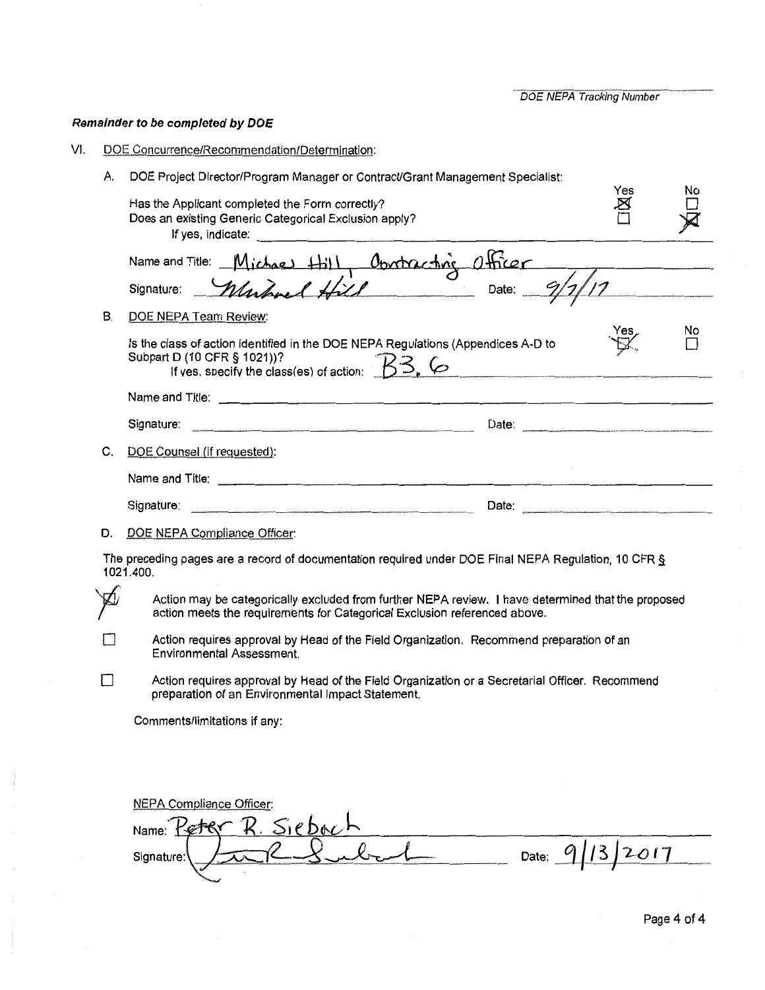**DOE NEPA Tracking Number** 

# Remainder to be completed by DOE

- DOE Concurrence/Recommendation/Determination: VI.
	- A. DOE Project Director/Program Manager or Contract/Grant Management Specialist:

|    | Has the Applicant completed the Form correctly?<br>Does an existing Generic Categorical Exclusion apply?                                                                                                                       | Yes | No |  |
|----|--------------------------------------------------------------------------------------------------------------------------------------------------------------------------------------------------------------------------------|-----|----|--|
|    |                                                                                                                                                                                                                                |     |    |  |
|    | Name and Title: Michael Hill, Obvertracting Officer<br>Signature: <i>Muhrel Hill</i>                                                                                                                                           |     |    |  |
| В. | DOE NEPA Team Review:                                                                                                                                                                                                          |     |    |  |
|    | Is the class of action identified in the DOE NEPA Regulations (Appendices A-D to<br>Subpart D (10 CFR § 1021))?<br>If yes, specify the class(es) of action: $\overline{\mathcal{B}}$ , $\overline{\mathcal{C}}$                |     | No |  |
|    | Name and Title: 2000 Communication of the Communication of the Communication of the Communication of the Communication of the Communication of the Communication of the Communication of the Communication of the Communicatio |     |    |  |
|    | Signature:                                                                                                                                                                                                                     |     |    |  |
| C. | DOE Counsel (if requested):                                                                                                                                                                                                    |     |    |  |
|    |                                                                                                                                                                                                                                |     |    |  |
|    | Signature: Signature:                                                                                                                                                                                                          |     |    |  |
| D. | DOE NEPA Compliance Officer:                                                                                                                                                                                                   |     |    |  |
|    | The preceding pages are a record of documentation required under DOE Final NEPA Regulation, 10 CFR $\S$<br>1021.400.                                                                                                           |     |    |  |
|    | Action may be categorically excluded from further NEPA review. I have determined that the proposed<br>action meets the requirements for Categorical Exclusion referenced above.                                                |     |    |  |
|    | Action requires approval by Head of the Field Organization. Recommend preparation of an<br><b>Environmental Assessment.</b>                                                                                                    |     |    |  |
|    | Action requires approval by Head of the Field Organization or a Secretarial Officer. Recommend<br>preparation of an Environmental Impact Statement.                                                                            |     |    |  |
|    | Comments/limitations if any:                                                                                                                                                                                                   |     |    |  |
|    |                                                                                                                                                                                                                                |     |    |  |
|    |                                                                                                                                                                                                                                |     |    |  |
|    | <b>NEPA Compliance Officer:</b>                                                                                                                                                                                                |     |    |  |
|    | $R.$ Siebach<br>Name:                                                                                                                                                                                                          |     |    |  |
|    | Date:<br>Signature:                                                                                                                                                                                                            |     |    |  |
|    |                                                                                                                                                                                                                                |     |    |  |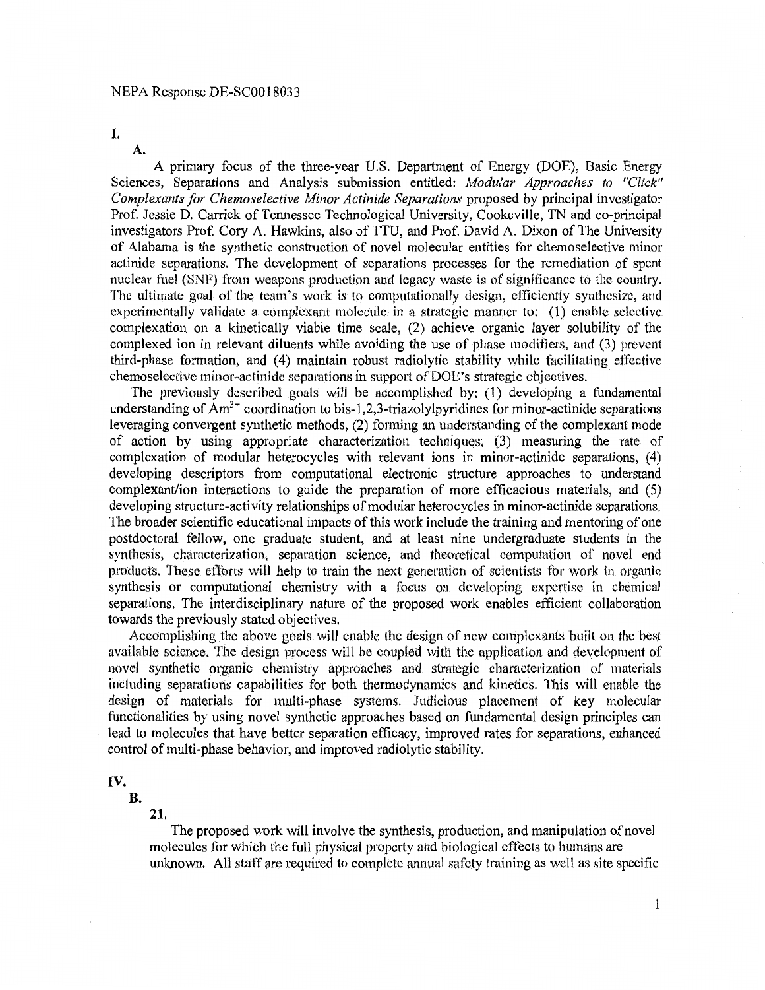I.

**A.** 

A primary focus of the three-year U.S. Department of Energy (DOE), Basic Energy Sciences, Separations and Analysis submission entitled: *Modular Approaches to "Click" Complexants for Chemoselective Minor Actinide Separations* proposed by principal investigator Prof. Jessie D. Carrick of Tennessee Technological University, Cookeville, TN and co-principal investigators Prof. Cory A. Hawkins, also of TIU, and Prof. David A. Dixon of The University of Alabama is the synthetic construction of novel molecular entities for chemoselective minor actinide separations. The development of separations processes for the remediation of spent nuclear fuel (SNF) from weapons production and legacy waste is of significance to the country. The ultimate goal of the team's work is to computationally design, efficiently synthesize, and experimentally validate a complexant molecule in a strategic manner to: (l) enable selective complexation on a kinetically viable time scale, (2) achieve organic layer solubility of the complexed ion in relevant diluents while avoiding the use of phase modifiers, and (3) prevent third-phase formation, and (4) maintain robust radiolytic stability while facilitating effective chemoselective minor-actinide separations in support of DOE's strategic objectives.

The previously described goals will be accomplished by: (1) developing a fundamental understanding of  $Am^{3+}$  coordination to bis-1,2,3-triazolylpyridines for minor-actinide separations leveraging convergent synthetic methods, (2) forming an understanding of the complexant mode of action by using appropriate characterization techniques, (3) measuring the rate of complexation of modular heterocycles with relevant ions in minor-actinide separations, **(4)**  developing descriptors from computational electronic structure approaches to understand complexant/ion interactions to guide the preparation of more efficacious materials, and (5) developing structure-activity relationships of modular heterocycles in minor-actinide separations. The broader scientific educational impacts of this work include the training and mentoring of one postdoctoral fellow, one graduate student, and at least nine undergraduate students in the synthesis, characterization, separation science, and theoretical computation of novel end products. 111ese efforts will help to train the next generation of scientists for work in organic synthesis or computational chemistry with a focus on developing expertise in chemical separations. The interdisciplinary nature of the proposed work enables efficient collaboration towards the previously stated objectives.

Accomplishing the above goals will enable the design of new complcxants built on the best available science. The design process will be coupled with the application and development of novel synthetic organic chemistry approaches and strategic characterization of materials including separations capabilities for both thermodynamics and kinetics. This will enable the design of materials for multi-phase systems. Judicious placement of key molecular functionalities by using novel synthetic approaches based on fundamental design principles can lead to molecules that have better separation efficacy, improved rates for separations, enhanced control of multi-phase behavior, and improved radiolytic stability.

**IV.** 

**B.** 

**21.** 

The proposed work will involve the synthesis, production, and manipulation of novel molecules for which the full physical property and biological effects to humans are unknown. All staff are required to complete annual safety training as well as site specific

1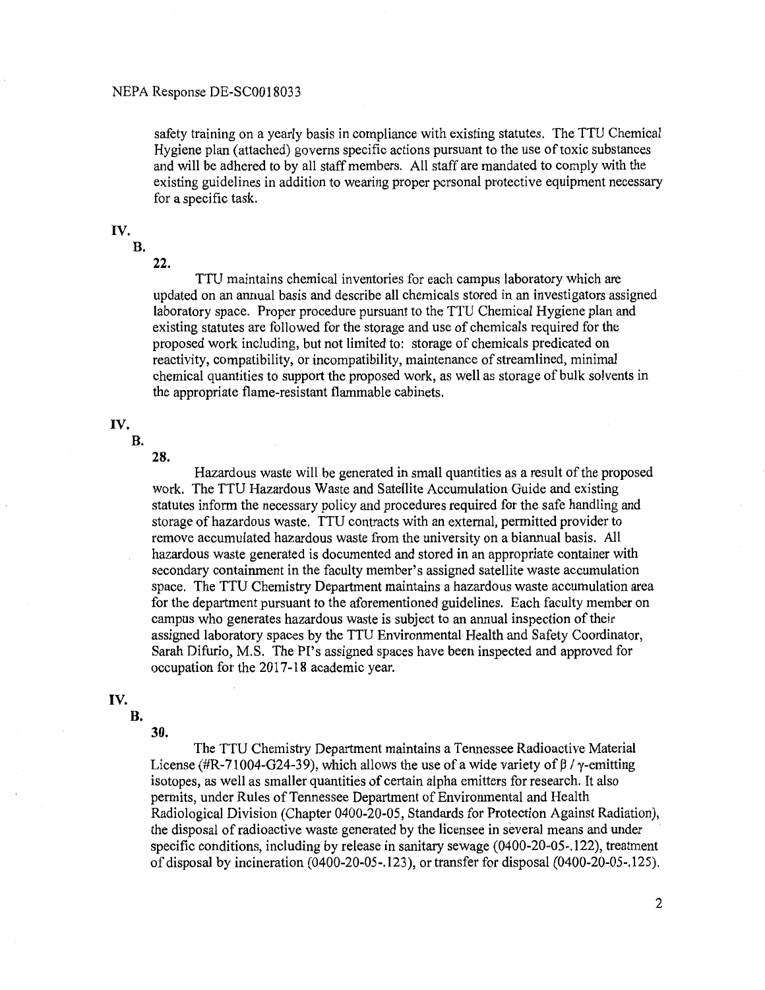safety training on a yearly basis in compliance with existing statutes. The TTU Chemical Hygiene plan (attached) governs specific actions pursuant to the use of toxic substances and will be adhered to by all staff members. All staff are mandated to comply with the existing guidelines in addition to wearing proper personal protective equipment necessary for a specific task.

# **IV.**

**B.** 

**22.** 

TTU maintains chemical inventories for each campus laboratory which are updated on an annual basis and describe all chemicals stored in an investigators assigned laboratory space. Proper procedure pursuant to the TTU Chemical Hygiene plan and existing statutes are followed for the storage and use of chemicals required for the proposed work including, but not limited to: storage of chemicals predicated on reactivity, compatibility, or incompatibility, maintenance of streamlined, minimal chemical quantities to support the proposed work, as well as storage of bulk solvents in the appropriate flame-resistant flammable cabinets.

#### **IV.**

**B.** 

**28.** 

Hazardous waste will be generated in small quantities as a result of the proposed work. The TTU Hazardous Waste and Satellite Accumulation Guide and existing statutes inform the necessary policy and procedures required for the safe handling and storage of hazardous waste. TTU contracts with an external, permitted provider to remove accumulated hazardous waste from the university on a biannual basis. All hazardous waste generated is documented and stored in an appropriate container with secondary containment in the faculty member's assigned satellite waste accumulation space. The TTU Chemistry Department maintains a hazardous waste accumulation area for the department pursuant to the aforementioned guidelines. Each faculty member on campus who generates hazardous waste is subject to an annual inspection of their assigned laboratory spaces by the TTU Environmental Health and Safety Coordinator, Sarah Difurio, M.S. The PI's assigned spaces have been inspected and approved for occupation for the 2017-18 academic year.

## **IV.**

**B.** 

## **30.**

The TTU Chemistry Department maintains a Tennessee Radioactive Material License (#R-71004-G24-39), which allows the use of a wide variety of  $\beta$  /  $\gamma$ -emitting isotopes, as well as smaller quantities of certain alpha emitters for research. It also permits, under Rules of Tennessee Department of Environmental and Health Radiological Division (Chapter 0400-20-05, Standards for Protection Against Radiation), the disposal of radioactive waste generated by the licensee in several means and under specific conditions, including by release in sanitary sewage (0400-20-05-.122), treatment of disposal by incineration (0400-20-05-.123 ), or transfer for disposal (0400-20-05-.125).